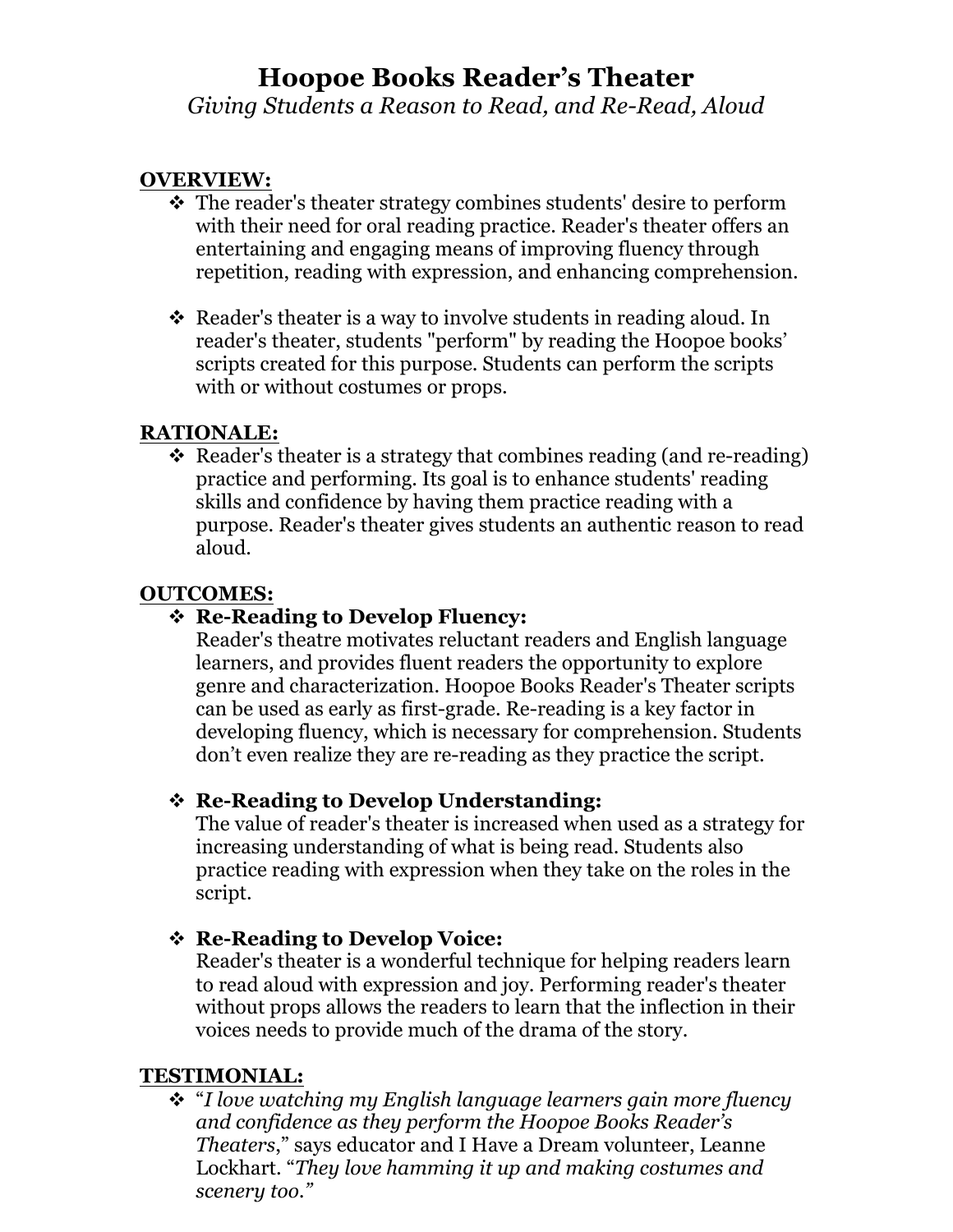# **Hoopoe Books Reader's Theater**

*Giving Students a Reason to Read, and Re-Read, Aloud*

### **OVERVIEW:**

- The reader's theater strategy combines students' desire to perform with their need for oral reading practice. Reader's theater offers an entertaining and engaging means of improving fluency through repetition, reading with expression, and enhancing comprehension.
- $\triangle$  Reader's theater is a way to involve students in reading aloud. In reader's theater, students "perform" by reading the Hoopoe books' scripts created for this purpose. Students can perform the scripts with or without costumes or props.

#### **RATIONALE:**

 $\cdot$  Reader's theater is a strategy that combines reading (and re-reading) practice and performing. Its goal is to enhance students' reading skills and confidence by having them practice reading with a purpose. Reader's theater gives students an authentic reason to read aloud.

#### **OUTCOMES:**

#### ! **Re-Reading to Develop Fluency:**

Reader's theatre motivates reluctant readers and English language learners, and provides fluent readers the opportunity to explore genre and characterization. Hoopoe Books Reader's Theater scripts can be used as early as first-grade. Re-reading is a key factor in developing fluency, which is necessary for comprehension. Students don't even realize they are re-reading as they practice the script.

#### ! **Re-Reading to Develop Understanding:**

The value of reader's theater is increased when used as a strategy for increasing understanding of what is being read. Students also practice reading with expression when they take on the roles in the script.

## ! **Re-Reading to Develop Voice:**

Reader's theater is a wonderful technique for helping readers learn to read aloud with expression and joy. Performing reader's theater without props allows the readers to learn that the inflection in their voices needs to provide much of the drama of the story.

#### **TESTIMONIAL:**

! "*I love watching my English language learners gain more fluency and confidence as they perform the Hoopoe Books Reader's Theaters*," says educator and I Have a Dream volunteer, Leanne Lockhart. "*They love hamming it up and making costumes and scenery too."*